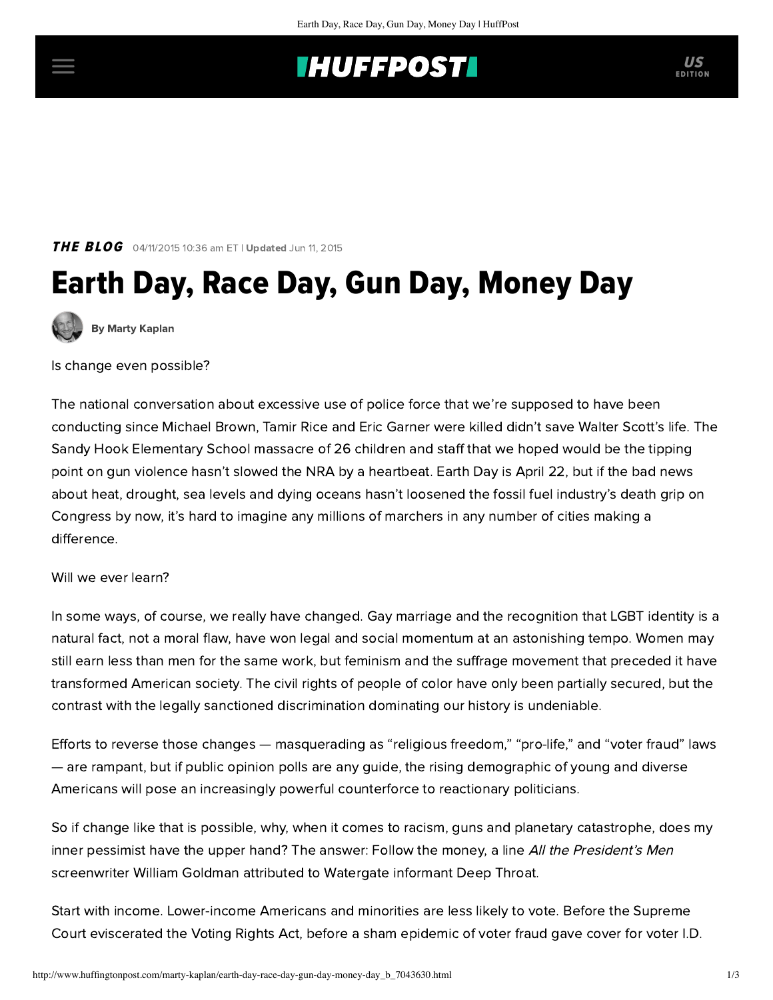## **IHUFFPOSTI**

THE BLOG 04/11/2015 10:36 am ET | Updated Jun 11, 2015

# Earth Day, Race Day, Gun Day, Money Day



[By Marty Kaplan](http://www.huffingtonpost.com/author/marty-kaplan)

Is change even possible?

The national conversation about excessive use of police force that we're supposed to have been conducting since Michael Brown, Tamir Rice and Eric Garner were killed didn't save Walter Scott's life. The Sandy Hook Elementary School massacre of 26 children and staff that we hoped would be the tipping point on gun violence hasn't slowed the NRA by a heartbeat. Earth Day is April 22, but if the bad news about heat, drought, sea levels and dying oceans hasn't loosened the fossil fuel industry's death grip on Congress by now, it's hard to imagine any millions of marchers in any number of cities making a difference.

#### Will we ever learn?

In some ways, of course, we really have changed. Gay marriage and the recognition that LGBT identity is a natural fact, not a moral flaw, have won legal and social momentum at an astonishing tempo. Women may still earn less than men for the same work, but feminism and the suffrage movement that preceded it have transformed American society. The civil rights of people of color have only been partially secured, but the contrast with the legally sanctioned discrimination dominating our history is undeniable.

Efforts to reverse those changes — masquerading as "religious freedom," "pro-life," and "voter fraud" laws — are rampant, but if public opinion polls are any guide, the rising demographic of young and diverse Americans will pose an increasingly powerful counterforce to reactionary politicians.

So if change like that is possible, why, when it comes to racism, guns and planetary catastrophe, does my inner pessimist have the upper hand? The answer: Follow the money, a line All the President's Men screenwriter William Goldman attributed to Watergate informant Deep Throat.

Start with income. Lower-income Americans and minorities are [less likely to vote.](http://www.theatlantic.com/politics/archive/2014/01/why-are-the-poor-and-minorities-less-likely-to-vote/282896/) Before the Supreme Court [eviscerated the Voting Rights Act,](http://www.propublica.org/article/voting-rights-by-state-map) before a sham epidemic of voter fraud gave cover for voter I.D.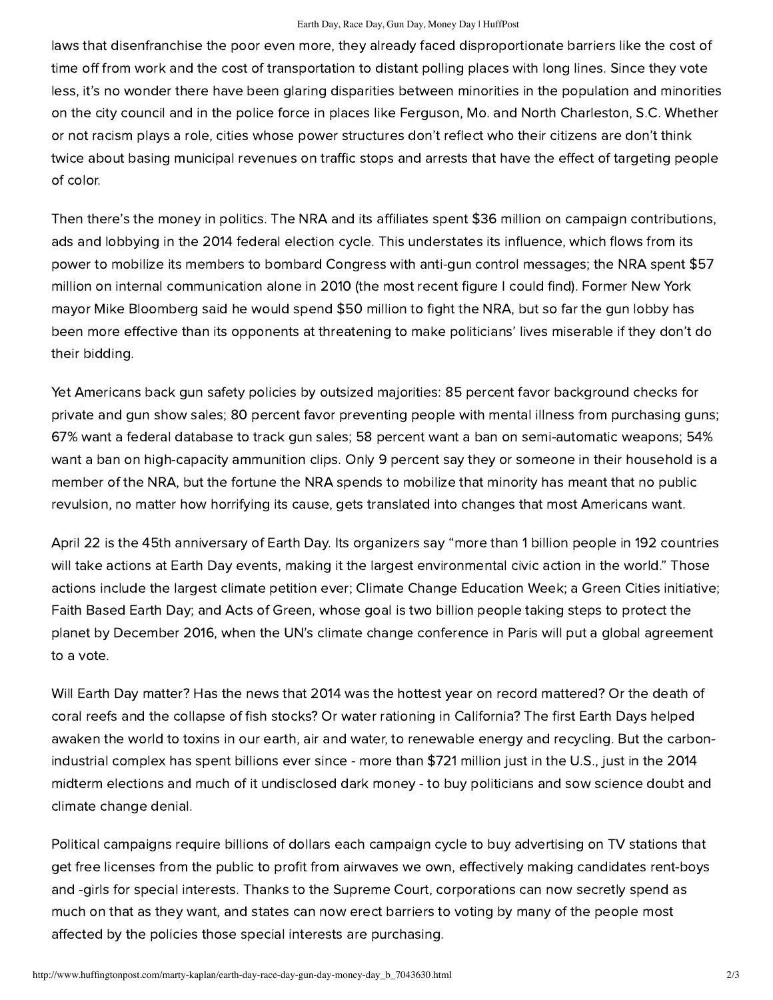#### Earth Day, Race Day, Gun Day, Money Day | HuffPost

laws that disenfranchise the poor even more, they already faced disproportionate barriers like the cost of time off from work and the cost of transportation to distant polling places with long lines. Since they vote less, it's no wonder there have been glaring disparities between minorities in the population and minorities on the city council and in the police force in places like Ferguson, Mo. and North Charleston, S.C. Whether or not racism plays a role, cities whose power structures don't reflect who their citizens are don't think twice about basing municipal revenues on traffic stops and arrests that have the effect of targeting people of color.

Then there's the money in politics. The NRA and its affiliates spent [\\$36 million](http://www.propublica.org/article/voting-rights-by-state-map) on campaign contributions, ads and lobbying in the 2014 federal election cycle. This understates its influence, which flows from its [power to mobilize its members to bombard Congress with anti-gun control messages; the NRA spent \\$57](http://www.huffingtonpost.com/2012/12/17/gun-lobby-nra_n_2317885.html) million on internal communication alone in 2010 (the most recent figure I could find). Former New York mayor Mike Bloomberg said he would spend [\\$50 million](http://www.nytimes.com/2014/04/16/us/bloomberg-plans-a-50-million-challenge-to-the-nra.html) to fight the NRA, but so far the gun lobby has been more effective than its opponents at threatening to [make politicians'](http://www.motherjones.com/politics/2013/05/nra-national-rifle-association-money-influence) lives miserable if they don't do their bidding.

Yet Americans back gun safety policies by [outsized majorities](http://www.pewresearch.org/fact-tank/2015/01/09/a-public-opinion-trend-that-matters-priorities-for-gun-policy/): 85 percent favor background checks for private and gun show sales; 80 percent favor preventing people with mental illness from purchasing guns; 67% want a federal database to track gun sales; 58 percent want a ban on semi-automatic weapons; 54% want a ban on high-capacity ammunition clips. Only [9 percent](http://www.people-press.org/2013/03/12/section-2-opinions-of-gun-owners-non-gun-owners/) say they or someone in their household is a member of the NRA, but the fortune the NRA spends to mobilize that minority has meant that no public revulsion, no matter how horrifying its cause, gets translated into changes that most Americans want.

April 22 is the 45th anniversary of Earth Day. Its organizers [say](http://www.prnewswire.com/news-releases/earth-day-2015-everything-you-need-to-know-300063043.html) "more than 1 billion people in 192 countries will take actions at Earth Day events, making it the largest environmental civic action in the world." Those actions include the largest climate petition ever; Climate Change Education Week; a Green Cities initiative; Faith Based Earth Day; and Acts of Green, whose goal is two billion people taking steps to protect the planet by December 2016, when the UN's climate change conference in Paris will put a global agreement to a vote.

Will Earth Day matter? Has the [news](http://time.com/3672276/climate-change-oceans/) that 2014 was the hottest year on record mattered? Or the death of coral reefs and the collapse of fish stocks? Or water rationing in California? The first Earth Days helped awaken the world to toxins in our earth, air and water, to renewable energy and recycling. But the carbonindustrial complex has spent billions ever since - more than [\\$721 million](http://thinkprogress.org/climate/2014/12/23/3606630/fossil-fuel-spending-midterm-elections/) just in the U.S., just in the 2014 midterm elections and much of it undisclosed [dark money](http://www.nationofchange.org/2014/11/30/koch-connected-nonprofits-use-dark-money-fight-political-disclosure/) - to buy politicians and sow science [doubt](http://www.merchantsofdoubt.org/) and climate change [denial.](http://www.theguardian.com/environment/2015/mar/25/fossil-fuel-firms-are-still-bankrolling-climate-denial-lobby-groups)

Political campaigns require billions of dollars each campaign cycle to buy advertising on TV stations that get free licenses from the public to profit from airwaves we own, effectively making candidates rent-boys and -girls for special interests. Thanks to the Supreme Court, corporations can now secretly spend as much on that as they want, and states can now erect barriers to voting by many of the people most affected by the policies those special interests are purchasing.